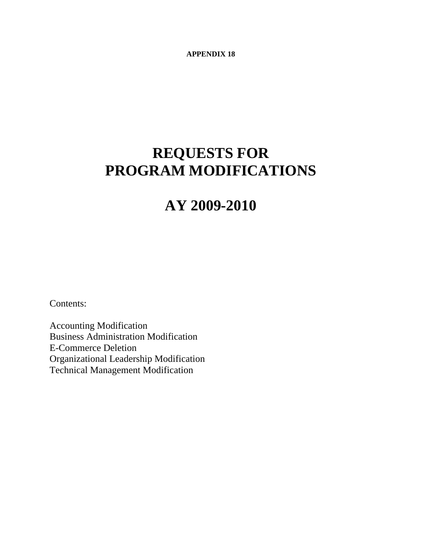**APPENDIX 18** 

# **REQUESTS FOR PROGRAM MODIFICATIONS**

# **AY 2009-2010**

Contents:

Accounting Modification Business Administration Modification E-Commerce Deletion Organizational Leadership Modification Technical Management Modification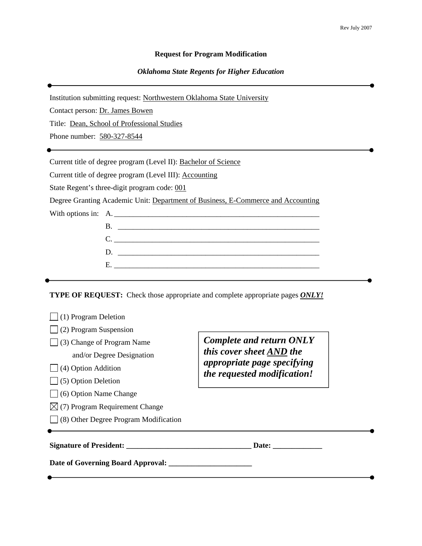#### **Request for Program Modification**

#### *Oklahoma State Regents for Higher Education*

Institution submitting request: Northwestern Oklahoma State University

Contact person: Dr. James Bowen

Title: Dean, School of Professional Studies

Phone number: 580-327-8544

Current title of degree program (Level II): Bachelor of Science

Current title of degree program (Level III): Accounting

State Regent's three-digit program code: 001

Degree Granting Academic Unit: Department of Business, E-Commerce and Accounting

With options in: A.

| В.                                                                                                                                                                                                                                                                              |
|---------------------------------------------------------------------------------------------------------------------------------------------------------------------------------------------------------------------------------------------------------------------------------|
|                                                                                                                                                                                                                                                                                 |
| $D_{\rm c}$ and $D_{\rm c}$ are $D_{\rm c}$ and $D_{\rm c}$ are $D_{\rm c}$ and $D_{\rm c}$ are $D_{\rm c}$ and $D_{\rm c}$ are $D_{\rm c}$ and $D_{\rm c}$ are $D_{\rm c}$ and $D_{\rm c}$ are $D_{\rm c}$ and $D_{\rm c}$ are $D_{\rm c}$ and $D_{\rm c}$ are $D_{\rm c}$ and |
|                                                                                                                                                                                                                                                                                 |
|                                                                                                                                                                                                                                                                                 |

**TYPE OF REQUEST:** Check those appropriate and complete appropriate pages *ONLY!*

| (1) Program Deletion                         |                                                            |
|----------------------------------------------|------------------------------------------------------------|
| (2) Program Suspension                       |                                                            |
| (3) Change of Program Name                   | <b>Complete and return ONLY</b>                            |
| and/or Degree Designation                    | this cover sheet AND the                                   |
| (4) Option Addition                          | appropriate page specifying<br>the requested modification! |
| $\Box$ (5) Option Deletion                   |                                                            |
| $\bigcup$ (6) Option Name Change             |                                                            |
| $\boxtimes$ (7) Program Requirement Change   |                                                            |
| $\Box$ (8) Other Degree Program Modification |                                                            |
| Signature of President:                      | Date:                                                      |
| Date of Governing Board Approval:            |                                                            |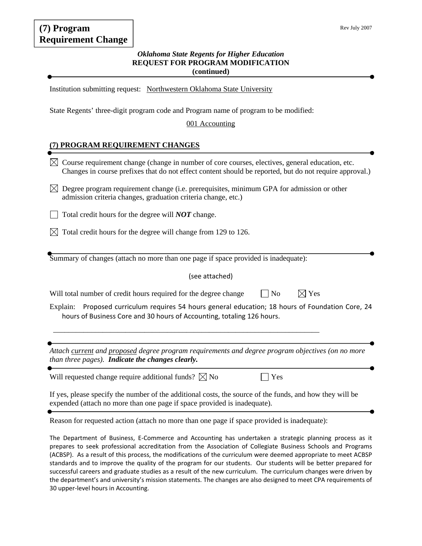# **(7) Program Requirement Change**

#### Rev July 2007

#### *Oklahoma State Regents for Higher Education*  **REQUEST FOR PROGRAM MODIFICATION (continued)**

Institution submitting request: Northwestern Oklahoma State University

State Regents' three-digit program code and Program name of program to be modified:

#### 001 Accounting

#### **(7) PROGRAM REQUIREMENT CHANGES**

- $\boxtimes$  Course requirement change (change in number of core courses, electives, general education, etc. Changes in course prefixes that do not effect content should be reported, but do not require approval.)
- $\bowtie$  Degree program requirement change (i.e. prerequisites, minimum GPA for admission or other admission criteria changes, graduation criteria change, etc.)
- Total credit hours for the degree will *NOT* change.
- $\boxtimes$  Total credit hours for the degree will change from 129 to 126.

Summary of changes (attach no more than one page if space provided is inadequate):

(see attached)

| Will total number of credit hours required for the degree change | $\Box$ No | $\boxtimes$ Yes |  |
|------------------------------------------------------------------|-----------|-----------------|--|
|------------------------------------------------------------------|-----------|-----------------|--|

\_\_\_\_\_\_\_\_\_\_\_\_\_\_\_\_\_\_\_\_\_\_\_\_\_\_\_\_\_\_\_\_\_\_\_\_\_\_\_\_\_\_\_\_\_\_\_\_\_\_\_\_\_\_\_\_\_\_\_\_\_\_\_\_\_\_\_\_\_\_

Explain: Proposed curriculum requires 54 hours general education; 18 hours of Foundation Core, 24 hours of Business Core and 30 hours of Accounting, totaling 126 hours.

*Attach current and proposed degree program requirements and degree program objectives (on no more than three pages). Indicate the changes clearly.*

Will requested change require additional funds?  $\boxtimes$  No  $\Box$  Yes

If yes, please specify the number of the additional costs, the source of the funds, and how they will be expended (attach no more than one page if space provided is inadequate).

Reason for requested action (attach no more than one page if space provided is inadequate):

The Department of Business, E‐Commerce and Accounting has undertaken a strategic planning process as it prepares to seek professional accreditation from the Association of Collegiate Business Schools and Programs (ACBSP). As a result of this process, the modifications of the curriculum were deemed appropriate to meet ACBSP standards and to improve the quality of the program for our students. Our students will be better prepared for successful careers and graduate studies as a result of the new curriculum. The curriculum changes were driven by the department's and university's mission statements. The changes are also designed to meet CPA requirements of 30 upper‐level hours in Accounting.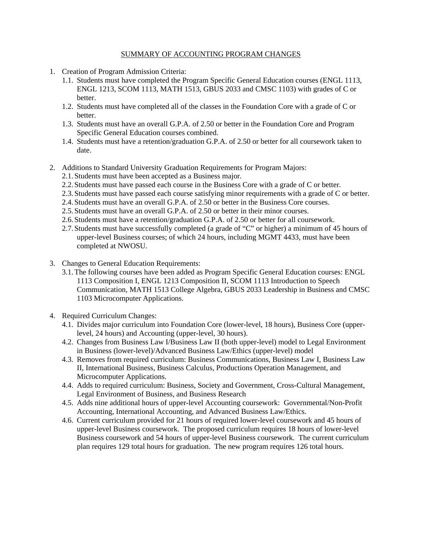#### SUMMARY OF ACCOUNTING PROGRAM CHANGES

- 1. Creation of Program Admission Criteria:
	- 1.1. Students must have completed the Program Specific General Education courses (ENGL 1113, ENGL 1213, SCOM 1113, MATH 1513, GBUS 2033 and CMSC 1103) with grades of C or better.
	- 1.2. Students must have completed all of the classes in the Foundation Core with a grade of C or better.
	- 1.3. Students must have an overall G.P.A. of 2.50 or better in the Foundation Core and Program Specific General Education courses combined.
	- 1.4. Students must have a retention/graduation G.P.A. of 2.50 or better for all coursework taken to date.
- 2. Additions to Standard University Graduation Requirements for Program Majors:
	- 2.1.Students must have been accepted as a Business major.
	- 2.2.Students must have passed each course in the Business Core with a grade of C or better.
	- 2.3.Students must have passed each course satisfying minor requirements with a grade of C or better.
	- 2.4.Students must have an overall G.P.A. of 2.50 or better in the Business Core courses.
	- 2.5.Students must have an overall G.P.A. of 2.50 or better in their minor courses.
	- 2.6.Students must have a retention/graduation G.P.A. of 2.50 or better for all coursework.
	- 2.7.Students must have successfully completed (a grade of "C" or higher) a minimum of 45 hours of upper-level Business courses; of which 24 hours, including MGMT 4433, must have been completed at NWOSU.
- 3. Changes to General Education Requirements:
	- 3.1.The following courses have been added as Program Specific General Education courses: ENGL 1113 Composition I, ENGL 1213 Composition II, SCOM 1113 Introduction to Speech Communication, MATH 1513 College Algebra, GBUS 2033 Leadership in Business and CMSC 1103 Microcomputer Applications.
- 4. Required Curriculum Changes:
	- 4.1. Divides major curriculum into Foundation Core (lower-level, 18 hours), Business Core (upperlevel, 24 hours) and Accounting (upper-level, 30 hours).
	- 4.2. Changes from Business Law I/Business Law II (both upper-level) model to Legal Environment in Business (lower-level)/Advanced Business Law/Ethics (upper-level) model
	- 4.3. Removes from required curriculum: Business Communications, Business Law I, Business Law II, International Business, Business Calculus, Productions Operation Management, and Microcomputer Applications.
	- 4.4. Adds to required curriculum: Business, Society and Government, Cross-Cultural Management, Legal Environment of Business, and Business Research
	- 4.5. Adds nine additional hours of upper-level Accounting coursework: Governmental/Non-Profit Accounting, International Accounting, and Advanced Business Law/Ethics.
	- 4.6. Current curriculum provided for 21 hours of required lower-level coursework and 45 hours of upper-level Business coursework. The proposed curriculum requires 18 hours of lower-level Business coursework and 54 hours of upper-level Business coursework. The current curriculum plan requires 129 total hours for graduation. The new program requires 126 total hours.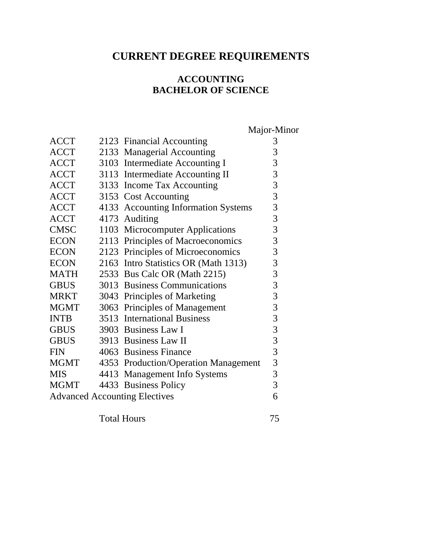# **CURRENT DEGREE REQUIREMENTS**

# **ACCOUNTING BACHELOR OF SCIENCE**

Major-Minor

| <b>ACCT</b>                          |  | 2123 Financial Accounting            | 3              |
|--------------------------------------|--|--------------------------------------|----------------|
| <b>ACCT</b>                          |  | 2133 Managerial Accounting           | 3              |
| <b>ACCT</b>                          |  | 3103 Intermediate Accounting I       | 3              |
| <b>ACCT</b>                          |  | 3113 Intermediate Accounting II      | 3              |
| <b>ACCT</b>                          |  | 3133 Income Tax Accounting           | 3              |
| <b>ACCT</b>                          |  | 3153 Cost Accounting                 | $\overline{3}$ |
| <b>ACCT</b>                          |  | 4133 Accounting Information Systems  | $\mathfrak{Z}$ |
| <b>ACCT</b>                          |  | 4173 Auditing                        | 3              |
| <b>CMSC</b>                          |  | 1103 Microcomputer Applications      | $\mathfrak{Z}$ |
| <b>ECON</b>                          |  | 2113 Principles of Macroeconomics    | 3              |
| <b>ECON</b>                          |  | 2123 Principles of Microeconomics    | 3              |
| <b>ECON</b>                          |  | 2163 Intro Statistics OR (Math 1313) | 3              |
| <b>MATH</b>                          |  | 2533 Bus Calc OR (Math 2215)         | 3              |
| <b>GBUS</b>                          |  | 3013 Business Communications         | 3              |
| <b>MRKT</b>                          |  | 3043 Principles of Marketing         | 3              |
| <b>MGMT</b>                          |  | 3063 Principles of Management        | 3              |
| <b>INTB</b>                          |  | 3513 International Business          | $\overline{3}$ |
| <b>GBUS</b>                          |  | 3903 Business Law I                  | $\mathfrak{Z}$ |
| <b>GBUS</b>                          |  | 3913 Business Law II                 | $\overline{3}$ |
| <b>FIN</b>                           |  | 4063 Business Finance                | 3              |
| MGMT                                 |  | 4353 Production/Operation Management | 3              |
| <b>MIS</b>                           |  | 4413 Management Info Systems         | 3              |
| <b>MGMT</b>                          |  | 4433 Business Policy                 | 3              |
| <b>Advanced Accounting Electives</b> |  |                                      | 6              |

Total Hours 75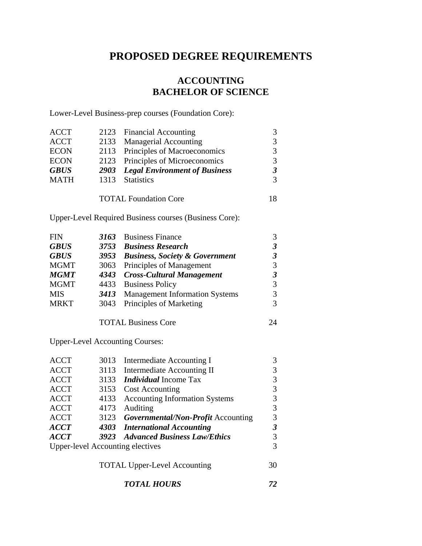# **PROPOSED DEGREE REQUIREMENTS**

# **ACCOUNTING BACHELOR OF SCIENCE**

Lower-Level Business-prep courses (Foundation Core):

| <b>ACCT</b> |      | 2123 Financial Accounting                 |  |
|-------------|------|-------------------------------------------|--|
| <b>ACCT</b> |      | 2133 Managerial Accounting                |  |
| <b>ECON</b> |      | 2113 Principles of Macroeconomics         |  |
| <b>ECON</b> |      | 2123 Principles of Microeconomics         |  |
| <b>GBUS</b> |      | <b>2903</b> Legal Environment of Business |  |
| <b>MATH</b> | 1313 | <b>Statistics</b>                         |  |
|             |      |                                           |  |
|             |      | <b>TOTAL Foundation Core</b>              |  |

Upper-Level Required Business courses (Business Core):

| <b>FIN</b>  | 3163 Business Finance               |   |
|-------------|-------------------------------------|---|
| <b>GBUS</b> | 3753 Business Research              | 3 |
| <b>GBUS</b> | 3953 Business, Society & Government |   |
| <b>MGMT</b> | 3063 Principles of Management       |   |
| <b>MGMT</b> | 4343 Cross-Cultural Management      |   |
| <b>MGMT</b> | 4433 Business Policy                |   |
| <b>MIS</b>  | 3413 Management Information Systems |   |
| <b>MRKT</b> | 3043 Principles of Marketing        |   |

TOTAL Business Core 24

Upper-Level Accounting Courses:

| <b>ACCT</b> |      | 3013 Intermediate Accounting I          |    |
|-------------|------|-----------------------------------------|----|
| <b>ACCT</b> |      | 3113 Intermediate Accounting II         |    |
| <b>ACCT</b> | 3133 | <i>Individual</i> Income Tax            |    |
| <b>ACCT</b> |      | 3153 Cost Accounting                    | 3  |
| <b>ACCT</b> |      | 4133 Accounting Information Systems     | 3  |
| <b>ACCT</b> | 4173 | Auditing                                | 3  |
| <b>ACCT</b> |      | 3123 Governmental/Non-Profit Accounting | 3  |
| <b>ACCT</b> |      | 4303 International Accounting           | 3  |
| <b>ACCT</b> |      | 3923 Advanced Business Law/Ethics       |    |
|             |      | <b>Upper-level Accounting electives</b> |    |
|             |      |                                         |    |
|             |      | $\sqrt{10}$                             | ΩΩ |

TOTAL Upper-Level Accounting 30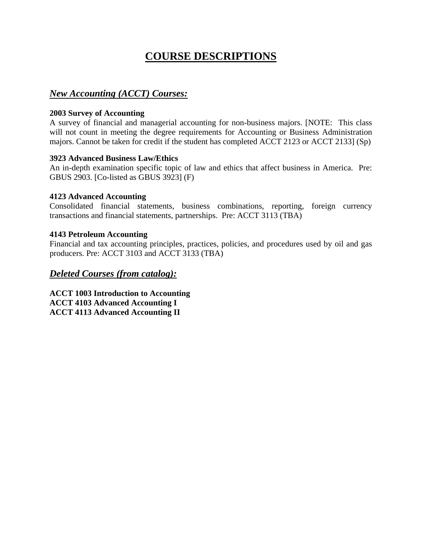# **COURSE DESCRIPTIONS**

# *New Accounting (ACCT) Courses:*

#### **2003 Survey of Accounting**

A survey of financial and managerial accounting for non-business majors. [NOTE: This class will not count in meeting the degree requirements for Accounting or Business Administration majors. Cannot be taken for credit if the student has completed ACCT 2123 or ACCT 2133] (Sp)

#### **3923 Advanced Business Law/Ethics**

An in-depth examination specific topic of law and ethics that affect business in America. Pre: GBUS 2903. [Co-listed as GBUS 3923] (F)

#### **4123 Advanced Accounting**

Consolidated financial statements, business combinations, reporting, foreign currency transactions and financial statements, partnerships. Pre: ACCT 3113 (TBA)

#### **4143 Petroleum Accounting**

Financial and tax accounting principles, practices, policies, and procedures used by oil and gas producers. Pre: ACCT 3103 and ACCT 3133 (TBA)

# *Deleted Courses (from catalog):*

**ACCT 1003 Introduction to Accounting ACCT 4103 Advanced Accounting I ACCT 4113 Advanced Accounting II**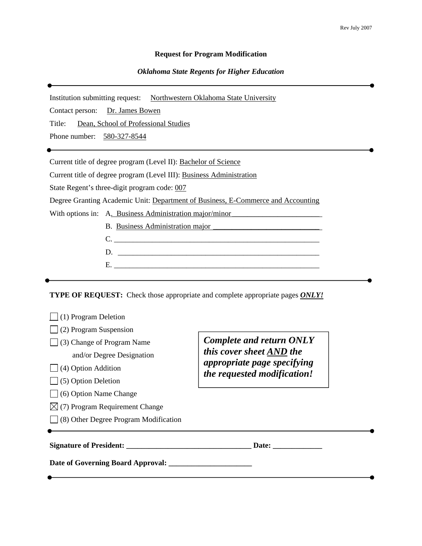#### **Request for Program Modification**

#### *Oklahoma State Regents for Higher Education*

Institution submitting request: Northwestern Oklahoma State University

Contact person: Dr. James Bowen

Title: Dean, School of Professional Studies

Phone number: 580-327-8544

Current title of degree program (Level II): Bachelor of Science

Current title of degree program (Level III): Business Administration

State Regent's three-digit program code: 007

Degree Granting Academic Unit: Department of Business, E-Commerce and Accounting

With options in: A. Business Administration major/minor

| <b>B.</b> Business Administration major |
|-----------------------------------------|
|                                         |

C. \_\_\_\_\_\_\_\_\_\_\_\_\_\_\_\_\_\_\_\_\_\_\_\_\_\_\_\_\_\_\_\_\_\_\_\_\_\_\_\_\_\_\_\_\_\_\_\_\_\_\_\_\_\_

- D. \_\_\_\_\_\_\_\_\_\_\_\_\_\_\_\_\_\_\_\_\_\_\_\_\_\_\_\_\_\_\_\_\_\_\_\_\_\_\_\_\_\_\_\_\_\_\_\_\_\_\_\_\_
- E. \_\_\_\_\_\_\_\_\_\_\_\_\_\_\_\_\_\_\_\_\_\_\_\_\_\_\_\_\_\_\_\_\_\_\_\_\_\_\_\_\_\_\_\_\_\_\_\_\_\_\_\_\_\_

**TYPE OF REQUEST:** Check those appropriate and complete appropriate pages *ONLY!*

| (1) Program Deletion                  |                                                            |  |
|---------------------------------------|------------------------------------------------------------|--|
| (2) Program Suspension                |                                                            |  |
| (3) Change of Program Name            | <b>Complete and return ONLY</b>                            |  |
| and/or Degree Designation             | this cover sheet AND the                                   |  |
| (4) Option Addition                   | appropriate page specifying<br>the requested modification! |  |
| $\Box$ (5) Option Deletion            |                                                            |  |
| (6) Option Name Change                |                                                            |  |
| (7) Program Requirement Change        |                                                            |  |
| (8) Other Degree Program Modification |                                                            |  |
|                                       | Date:                                                      |  |
| Date of Governing Board Approval:     |                                                            |  |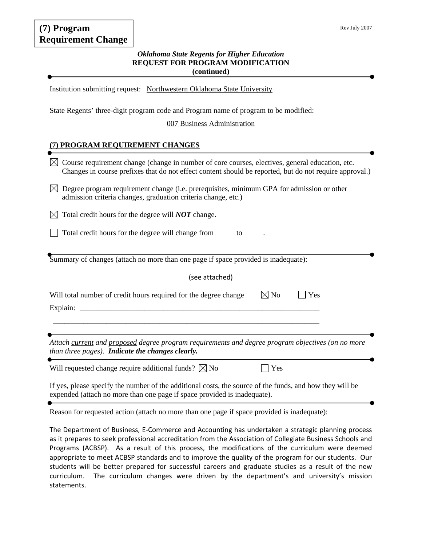# **(7) Program Requirement Change**

#### *Oklahoma State Regents for Higher Education*  **REQUEST FOR PROGRAM MODIFICATION (continued)**

Institution submitting request: Northwestern Oklahoma State University

State Regents' three-digit program code and Program name of program to be modified:

007 Business Administration

#### **(7) PROGRAM REQUIREMENT CHANGES**

| Course requirement change (change in number of core courses, electives, general education, etc.<br>IXI<br>Changes in course prefixes that do not effect content should be reported, but do not require approval.) |
|-------------------------------------------------------------------------------------------------------------------------------------------------------------------------------------------------------------------|
| Degree program requirement change (i.e. prerequisites, minimum GPA for admission or other<br>IХI<br>admission criteria changes, graduation criteria change, etc.)                                                 |
| Total credit hours for the degree will <b>NOT</b> change.<br>IХI                                                                                                                                                  |
| Total credit hours for the degree will change from<br>to                                                                                                                                                          |
| Summary of changes (attach no more than one page if space provided is inadequate):                                                                                                                                |
| (see attached)                                                                                                                                                                                                    |
| $\boxtimes$ No<br>Will total number of credit hours required for the degree change<br>Yes<br>Explain:                                                                                                             |
|                                                                                                                                                                                                                   |
| Attach current and proposed degree program requirements and degree program objectives (on no more<br>than three pages). Indicate the changes clearly.                                                             |
| Will requested change require additional funds? $\boxtimes$ No<br>Yes                                                                                                                                             |
| If yes, please specify the number of the additional costs, the source of the funds, and how they will be<br>expended (attach no more than one page if space provided is inadequate).                              |

Reason for requested action (attach no more than one page if space provided is inadequate):

The Department of Business, E‐Commerce and Accounting has undertaken a strategic planning process as it prepares to seek professional accreditation from the Association of Collegiate Business Schools and Programs (ACBSP). As a result of this process, the modifications of the curriculum were deemed appropriate to meet ACBSP standards and to improve the quality of the program for our students. Our students will be better prepared for successful careers and graduate studies as a result of the new curriculum. The curriculum changes were driven by the department's and university's mission statements.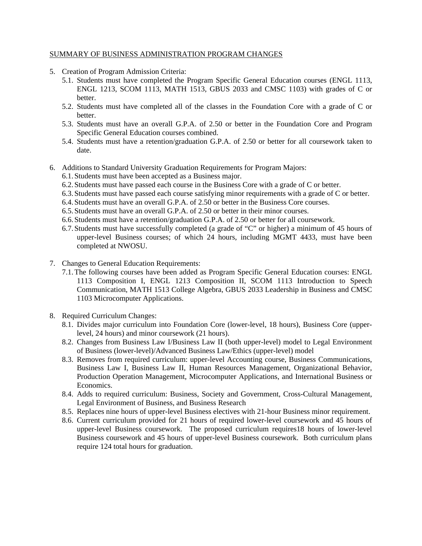#### SUMMARY OF BUSINESS ADMINISTRATION PROGRAM CHANGES

- 5. Creation of Program Admission Criteria:
	- 5.1. Students must have completed the Program Specific General Education courses (ENGL 1113, ENGL 1213, SCOM 1113, MATH 1513, GBUS 2033 and CMSC 1103) with grades of C or better.
	- 5.2. Students must have completed all of the classes in the Foundation Core with a grade of C or better.
	- 5.3. Students must have an overall G.P.A. of 2.50 or better in the Foundation Core and Program Specific General Education courses combined.
	- 5.4. Students must have a retention/graduation G.P.A. of 2.50 or better for all coursework taken to date.
- 6. Additions to Standard University Graduation Requirements for Program Majors:
	- 6.1.Students must have been accepted as a Business major.
	- 6.2.Students must have passed each course in the Business Core with a grade of C or better.
	- 6.3.Students must have passed each course satisfying minor requirements with a grade of C or better.
	- 6.4.Students must have an overall G.P.A. of 2.50 or better in the Business Core courses.
	- 6.5.Students must have an overall G.P.A. of 2.50 or better in their minor courses.
	- 6.6.Students must have a retention/graduation G.P.A. of 2.50 or better for all coursework.
	- 6.7.Students must have successfully completed (a grade of "C" or higher) a minimum of 45 hours of upper-level Business courses; of which 24 hours, including MGMT 4433, must have been completed at NWOSU.
- 7. Changes to General Education Requirements:
	- 7.1.The following courses have been added as Program Specific General Education courses: ENGL 1113 Composition I, ENGL 1213 Composition II, SCOM 1113 Introduction to Speech Communication, MATH 1513 College Algebra, GBUS 2033 Leadership in Business and CMSC 1103 Microcomputer Applications.
- 8. Required Curriculum Changes:
	- 8.1. Divides major curriculum into Foundation Core (lower-level, 18 hours), Business Core (upperlevel, 24 hours) and minor coursework (21 hours).
	- 8.2. Changes from Business Law I/Business Law II (both upper-level) model to Legal Environment of Business (lower-level)/Advanced Business Law/Ethics (upper-level) model
	- 8.3. Removes from required curriculum: upper-level Accounting course, Business Communications, Business Law I, Business Law II, Human Resources Management, Organizational Behavior, Production Operation Management, Microcomputer Applications, and International Business or Economics.
	- 8.4. Adds to required curriculum: Business, Society and Government, Cross-Cultural Management, Legal Environment of Business, and Business Research
	- 8.5. Replaces nine hours of upper-level Business electives with 21-hour Business minor requirement.
	- 8.6. Current curriculum provided for 21 hours of required lower-level coursework and 45 hours of upper-level Business coursework. The proposed curriculum requires18 hours of lower-level Business coursework and 45 hours of upper-level Business coursework. Both curriculum plans require 124 total hours for graduation.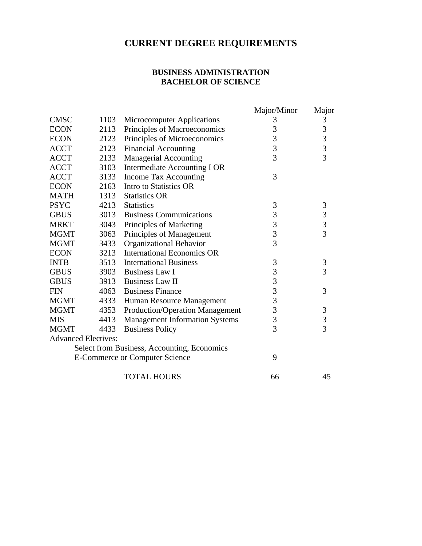# **CURRENT DEGREE REQUIREMENTS**

#### **BUSINESS ADMINISTRATION BACHELOR OF SCIENCE**

|                            |      |                                             | Major/Minor    | Major                                           |
|----------------------------|------|---------------------------------------------|----------------|-------------------------------------------------|
| <b>CMSC</b>                | 1103 | <b>Microcomputer Applications</b>           | 3              | 3                                               |
| <b>ECON</b>                | 2113 | Principles of Macroeconomics                | 3              |                                                 |
| <b>ECON</b>                | 2123 | Principles of Microeconomics                | 3              | $\begin{array}{c} 3 \\ 3 \\ 3 \\ 3 \end{array}$ |
| <b>ACCT</b>                | 2123 | <b>Financial Accounting</b>                 | 3              |                                                 |
| <b>ACCT</b>                | 2133 | <b>Managerial Accounting</b>                | $\overline{3}$ |                                                 |
| <b>ACCT</b>                | 3103 | Intermediate Accounting I OR                |                |                                                 |
| <b>ACCT</b>                | 3133 | Income Tax Accounting                       | 3              |                                                 |
| <b>ECON</b>                | 2163 | Intro to Statistics OR                      |                |                                                 |
| <b>MATH</b>                | 1313 | <b>Statistics OR</b>                        |                |                                                 |
| <b>PSYC</b>                | 4213 | <b>Statistics</b>                           | 3              | $\mathfrak{Z}$                                  |
| <b>GBUS</b>                | 3013 | <b>Business Communications</b>              | 3              | $\begin{array}{c} 3 \\ 3 \\ 3 \end{array}$      |
| <b>MRKT</b>                | 3043 | Principles of Marketing                     | $\frac{3}{3}$  |                                                 |
| <b>MGMT</b>                | 3063 | Principles of Management                    |                |                                                 |
| <b>MGMT</b>                | 3433 | Organizational Behavior                     | $\overline{3}$ |                                                 |
| <b>ECON</b>                | 3213 | <b>International Economics OR</b>           |                |                                                 |
| <b>INTB</b>                | 3513 | <b>International Business</b>               | 3              | 3                                               |
| <b>GBUS</b>                | 3903 | <b>Business Law I</b>                       | 3              | $\overline{3}$                                  |
| <b>GBUS</b>                |      | 3913 Business Law II                        | 3              |                                                 |
| <b>FIN</b>                 | 4063 | <b>Business Finance</b>                     | $\overline{3}$ | 3                                               |
| <b>MGMT</b>                | 4333 | Human Resource Management                   | 3              |                                                 |
| <b>MGMT</b>                | 4353 | Production/Operation Management             | 3              | $\mathfrak{Z}$                                  |
| <b>MIS</b>                 | 4413 | <b>Management Information Systems</b>       | 3              | $\frac{3}{3}$                                   |
| <b>MGMT</b>                | 4433 | <b>Business Policy</b>                      | $\overline{3}$ |                                                 |
| <b>Advanced Electives:</b> |      |                                             |                |                                                 |
|                            |      | Select from Business, Accounting, Economics |                |                                                 |
|                            |      | <b>E-Commerce or Computer Science</b>       | 9              |                                                 |
|                            |      | <b>TOTAL HOURS</b>                          | 66             | 45                                              |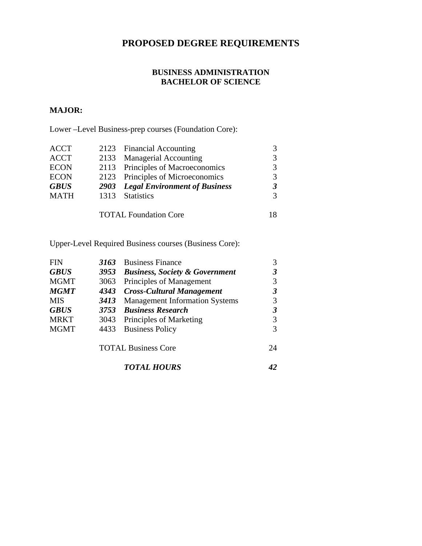# **PROPOSED DEGREE REQUIREMENTS**

## **BUSINESS ADMINISTRATION BACHELOR OF SCIENCE**

# **MAJOR:**

Lower –Level Business-prep courses (Foundation Core):

| <b>ACCT</b> |      | 2123 Financial Accounting                 |   |
|-------------|------|-------------------------------------------|---|
| <b>ACCT</b> |      | 2133 Managerial Accounting                | 3 |
| <b>ECON</b> |      | 2113 Principles of Macroeconomics         | 3 |
| <b>ECON</b> |      | 2123 Principles of Microeconomics         | 3 |
| <b>GBUS</b> |      | <b>2903</b> Legal Environment of Business |   |
| <b>MATH</b> | 1313 | <b>Statistics</b>                         | 3 |
|             |      |                                           |   |
|             |      | <b>TOTAL Foundation Core</b>              |   |

Upper-Level Required Business courses (Business Core):

| <b>FIN</b>  | 3163 | <b>Business Finance</b>                   |    |
|-------------|------|-------------------------------------------|----|
| <b>GBUS</b> | 3953 | <b>Business, Society &amp; Government</b> |    |
| <b>MGMT</b> | 3063 | Principles of Management                  |    |
| <b>MGMT</b> | 4343 | <b>Cross-Cultural Management</b>          |    |
| <b>MIS</b>  | 3413 | <b>Management Information Systems</b>     |    |
| <b>GBUS</b> | 3753 | <b>Business Research</b>                  |    |
| <b>MRKT</b> | 3043 | Principles of Marketing                   |    |
| <b>MGMT</b> | 4433 | <b>Business Policy</b>                    |    |
|             |      | <b>TOTAL Business Core</b>                | 24 |
|             |      | <b>TOTAL HOURS</b>                        |    |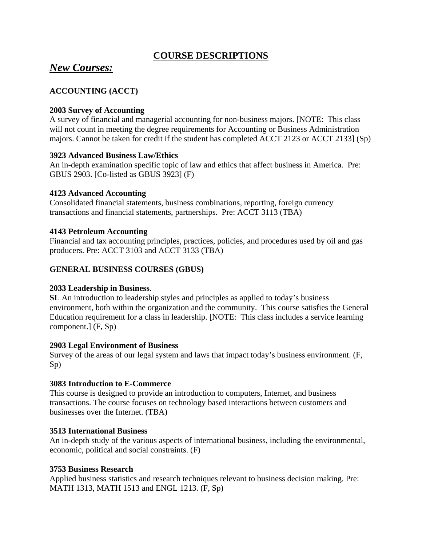# **COURSE DESCRIPTIONS**

# *New Courses:*

# **ACCOUNTING (ACCT)**

### **2003 Survey of Accounting**

A survey of financial and managerial accounting for non-business majors. [NOTE: This class will not count in meeting the degree requirements for Accounting or Business Administration majors. Cannot be taken for credit if the student has completed ACCT 2123 or ACCT 2133] (Sp)

#### **3923 Advanced Business Law/Ethics**

An in-depth examination specific topic of law and ethics that affect business in America. Pre: GBUS 2903. [Co-listed as GBUS 3923] (F)

#### **4123 Advanced Accounting**

Consolidated financial statements, business combinations, reporting, foreign currency transactions and financial statements, partnerships. Pre: ACCT 3113 (TBA)

#### **4143 Petroleum Accounting**

Financial and tax accounting principles, practices, policies, and procedures used by oil and gas producers. Pre: ACCT 3103 and ACCT 3133 (TBA)

## **GENERAL BUSINESS COURSES (GBUS)**

## **2033 Leadership in Business**.

**SL** An introduction to leadership styles and principles as applied to today's business environment, both within the organization and the community. This course satisfies the General Education requirement for a class in leadership. [NOTE: This class includes a service learning component.] (F, Sp)

#### **2903 Legal Environment of Business**

Survey of the areas of our legal system and laws that impact today's business environment. (F, Sp)

#### **3083 Introduction to E-Commerce**

This course is designed to provide an introduction to computers, Internet, and business transactions. The course focuses on technology based interactions between customers and businesses over the Internet. (TBA)

#### **3513 International Business**

An in-depth study of the various aspects of international business, including the environmental, economic, political and social constraints. (F)

#### **3753 Business Research**

Applied business statistics and research techniques relevant to business decision making. Pre: MATH 1313, MATH 1513 and ENGL 1213. (F, Sp)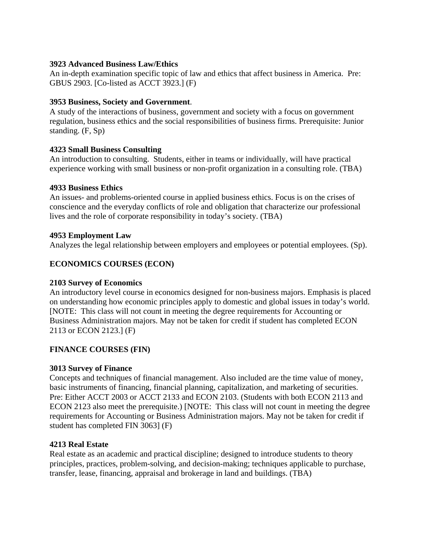### **3923 Advanced Business Law/Ethics**

An in-depth examination specific topic of law and ethics that affect business in America. Pre: GBUS 2903. [Co-listed as ACCT 3923.] (F)

### **3953 Business, Society and Government**.

A study of the interactions of business, government and society with a focus on government regulation, business ethics and the social responsibilities of business firms. Prerequisite: Junior standing. (F, Sp)

#### **4323 Small Business Consulting**

An introduction to consulting. Students, either in teams or individually, will have practical experience working with small business or non-profit organization in a consulting role. (TBA)

#### **4933 Business Ethics**

An issues- and problems-oriented course in applied business ethics. Focus is on the crises of conscience and the everyday conflicts of role and obligation that characterize our professional lives and the role of corporate responsibility in today's society. (TBA)

#### **4953 Employment Law**

Analyzes the legal relationship between employers and employees or potential employees. (Sp).

# **ECONOMICS COURSES (ECON)**

## **2103 Survey of Economics**

An introductory level course in economics designed for non-business majors. Emphasis is placed on understanding how economic principles apply to domestic and global issues in today's world. [NOTE: This class will not count in meeting the degree requirements for Accounting or Business Administration majors. May not be taken for credit if student has completed ECON 2113 or ECON 2123.] (F)

## **FINANCE COURSES (FIN)**

## **3013 Survey of Finance**

Concepts and techniques of financial management. Also included are the time value of money, basic instruments of financing, financial planning, capitalization, and marketing of securities. Pre: Either ACCT 2003 or ACCT 2133 and ECON 2103. (Students with both ECON 2113 and ECON 2123 also meet the prerequisite.) [NOTE: This class will not count in meeting the degree requirements for Accounting or Business Administration majors. May not be taken for credit if student has completed FIN 3063] (F)

#### **4213 Real Estate**

Real estate as an academic and practical discipline; designed to introduce students to theory principles, practices, problem-solving, and decision-making; techniques applicable to purchase, transfer, lease, financing, appraisal and brokerage in land and buildings. (TBA)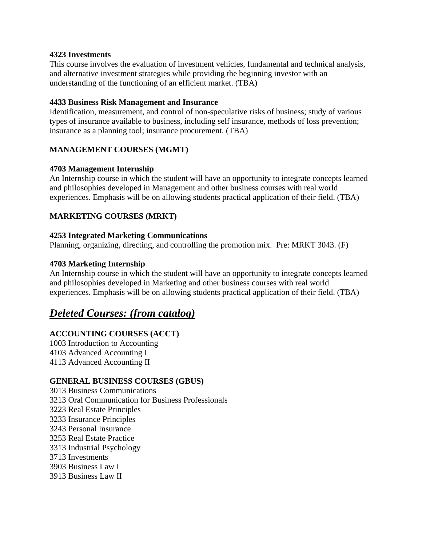#### **4323 Investments**

This course involves the evaluation of investment vehicles, fundamental and technical analysis, and alternative investment strategies while providing the beginning investor with an understanding of the functioning of an efficient market. (TBA)

#### **4433 Business Risk Management and Insurance**

Identification, measurement, and control of non-speculative risks of business; study of various types of insurance available to business, including self insurance, methods of loss prevention; insurance as a planning tool; insurance procurement. (TBA)

## **MANAGEMENT COURSES (MGMT)**

#### **4703 Management Internship**

An Internship course in which the student will have an opportunity to integrate concepts learned and philosophies developed in Management and other business courses with real world experiences. Emphasis will be on allowing students practical application of their field. (TBA)

## **MARKETING COURSES (MRKT)**

#### **4253 Integrated Marketing Communications**

Planning, organizing, directing, and controlling the promotion mix. Pre: MRKT 3043. (F)

#### **4703 Marketing Internship**

An Internship course in which the student will have an opportunity to integrate concepts learned and philosophies developed in Marketing and other business courses with real world experiences. Emphasis will be on allowing students practical application of their field. (TBA)

# *Deleted Courses: (from catalog)*

## **ACCOUNTING COURSES (ACCT)**

1003 Introduction to Accounting 4103 Advanced Accounting I 4113 Advanced Accounting II

## **GENERAL BUSINESS COURSES (GBUS)**

3013 Business Communications 3213 Oral Communication for Business Professionals 3223 Real Estate Principles 3233 Insurance Principles 3243 Personal Insurance 3253 Real Estate Practice 3313 Industrial Psychology 3713 Investments 3903 Business Law I 3913 Business Law II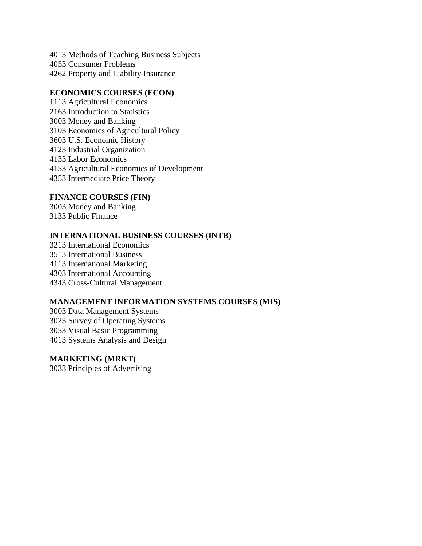4013 Methods of Teaching Business Subjects 4053 Consumer Problems 4262 Property and Liability Insurance

#### **ECONOMICS COURSES (ECON)**

1113 Agricultural Economics 2163 Introduction to Statistics 3003 Money and Banking 3103 Economics of Agricultural Policy 3603 U.S. Economic History 4123 Industrial Organization 4133 Labor Economics 4153 Agricultural Economics of Development 4353 Intermediate Price Theory

#### **FINANCE COURSES (FIN)**

3003 Money and Banking 3133 Public Finance

#### **INTERNATIONAL BUSINESS COURSES (INTB)**

3213 International Economics 3513 International Business 4113 International Marketing 4303 International Accounting 4343 Cross-Cultural Management

# **MANAGEMENT INFORMATION SYSTEMS COURSES (MIS)**

3003 Data Management Systems 3023 Survey of Operating Systems 3053 Visual Basic Programming 4013 Systems Analysis and Design

#### **MARKETING (MRKT)**

3033 Principles of Advertising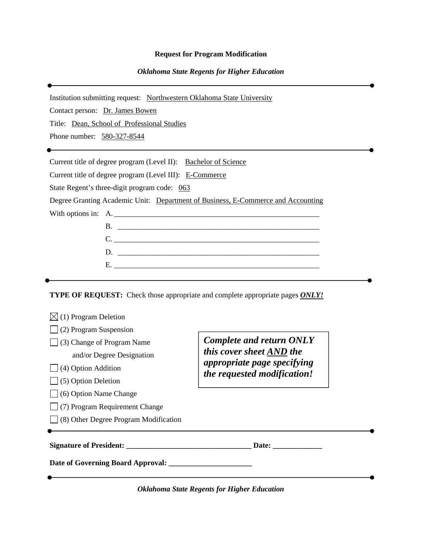#### **Request for Program Modification**

#### *Oklahoma State Regents for Higher Education*

Institution submitting request: Northwestern Oklahoma State University

Contact person: Dr. James Bowen

Title: Dean, School of Professional Studies

Phone number: 580-327-8544

Current title of degree program (Level II): Bachelor of Science

Current title of degree program (Level III):E-Commerce

State Regent's three-digit program code: 063

Degree Granting Academic Unit: Department of Business, E-Commerce and Accounting

With options in: A.

**TYPE OF REQUEST:** Check those appropriate and complete appropriate pages *ONLY!*

| (1) Program Deletion                         |                                                             |  |  |
|----------------------------------------------|-------------------------------------------------------------|--|--|
| $\Box$ (2) Program Suspension                |                                                             |  |  |
| $\Box$ (3) Change of Program Name            | <b>Complete and return ONLY</b><br>this cover sheet AND the |  |  |
| and/or Degree Designation                    | appropriate page specifying                                 |  |  |
| $\Box$ (4) Option Addition                   | the requested modification!                                 |  |  |
| $\Box$ (5) Option Deletion                   |                                                             |  |  |
| (6) Option Name Change                       |                                                             |  |  |
| (7) Program Requirement Change               |                                                             |  |  |
| $\Box$ (8) Other Degree Program Modification |                                                             |  |  |
| Signature of President:                      |                                                             |  |  |
| Date of Governing Board Approval:            |                                                             |  |  |

*Oklahoma State Regents for Higher Education*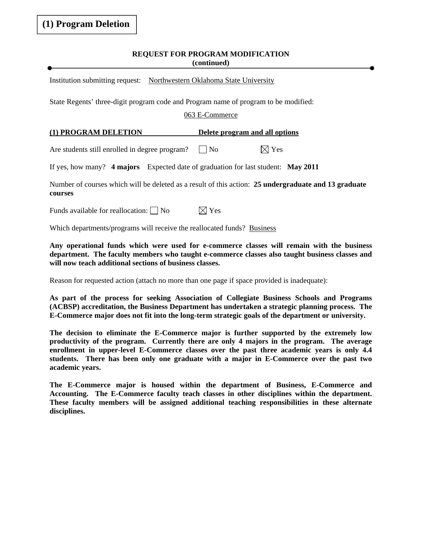#### **REQUEST FOR PROGRAM MODIFICATION (continued)**

Institution submitting request: Northwestern Oklahoma State University

State Regents' three-digit program code and Program name of program to be modified:

#### 063 E-Commerce

#### **(1) PROGRAM DELETION Delete program and all options**

Are students still enrolled in degree program?  $\Box$  No  $\Box$  Yes

If yes, how many? **4 majors** Expected date of graduation for last student: **May 2011**

Number of courses which will be deleted as a result of this action: **25 undergraduate and 13 graduate courses**

Funds available for reallocation:  $\Box$  No  $\Box$  Yes

Which departments/programs will receive the reallocated funds? Business

**Any operational funds which were used for e-commerce classes will remain with the business department. The faculty members who taught e-commerce classes also taught business classes and will now teach additional sections of business classes.** 

Reason for requested action (attach no more than one page if space provided is inadequate):

**As part of the process for seeking Association of Collegiate Business Schools and Programs (ACBSP) accreditation, the Business Department has undertaken a strategic planning process. The E-Commerce major does not fit into the long-term strategic goals of the department or university.** 

**The decision to eliminate the E-Commerce major is further supported by the extremely low productivity of the program. Currently there are only 4 majors in the program. The average enrollment in upper-level E-Commerce classes over the past three academic years is only 4.4 students. There has been only one graduate with a major in E-Commerce over the past two academic years.** 

**The E-Commerce major is housed within the department of Business, E-Commerce and Accounting. The E-Commerce faculty teach classes in other disciplines within the department. These faculty members will be assigned additional teaching responsibilities in these alternate disciplines.**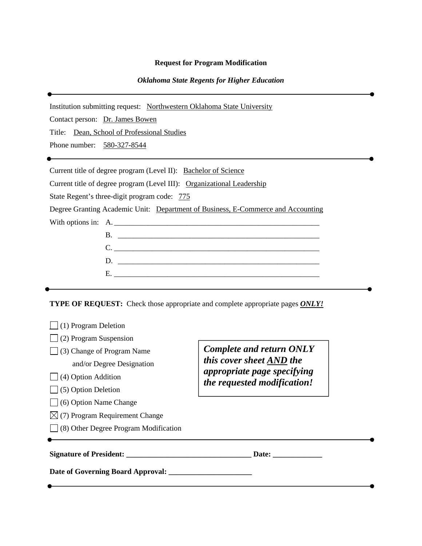#### **Request for Program Modification**

#### *Oklahoma State Regents for Higher Education*

Institution submitting request: Northwestern Oklahoma State University Contact person: Dr. James Bowen Title: Dean, School of Professional Studies Phone number: 580-327-8544 Current title of degree program (Level II): Bachelor of Science Current title of degree program (Level III):Organizational Leadership State Regent's three-digit program code: 775 Degree Granting Academic Unit: Department of Business, E-Commerce and Accounting With options in: A. B. \_\_\_\_\_\_\_\_\_\_\_\_\_\_\_\_\_\_\_\_\_\_\_\_\_\_\_\_\_\_\_\_\_\_\_\_\_\_\_\_\_\_\_\_\_\_\_\_\_\_\_\_\_ C. \_\_\_\_\_\_\_\_\_\_\_\_\_\_\_\_\_\_\_\_\_\_\_\_\_\_\_\_\_\_\_\_\_\_\_\_\_\_\_\_\_\_\_\_\_\_\_\_\_\_\_\_\_\_ D. \_\_\_\_\_\_\_\_\_\_\_\_\_\_\_\_\_\_\_\_\_\_\_\_\_\_\_\_\_\_\_\_\_\_\_\_\_\_\_\_\_\_\_\_\_\_\_\_\_\_\_\_\_ E. \_\_\_\_\_\_\_\_\_\_\_\_\_\_\_\_\_\_\_\_\_\_\_\_\_\_\_\_\_\_\_\_\_\_\_\_\_\_\_\_\_\_\_\_\_\_\_\_\_\_\_\_\_\_ **TYPE OF REQUEST:** Check those appropriate and complete appropriate pages *ONLY!*  $\Box$  (1) Program Deletion

| Signature of President:<br>Date of Governing Board Approval: | Date:                                                      |  |
|--------------------------------------------------------------|------------------------------------------------------------|--|
|                                                              |                                                            |  |
| $\vert$ (8) Other Degree Program Modification                |                                                            |  |
| $\boxtimes$ (7) Program Requirement Change                   |                                                            |  |
| $\Box$ (6) Option Name Change                                |                                                            |  |
| $\Box$ (5) Option Deletion                                   |                                                            |  |
| $\Box$ (4) Option Addition                                   | appropriate page specifying<br>the requested modification! |  |
| and/or Degree Designation                                    | this cover sheet AND the                                   |  |
| $\Box$ (3) Change of Program Name                            | <b>Complete and return ONLY</b>                            |  |
| (2) Program Suspension                                       |                                                            |  |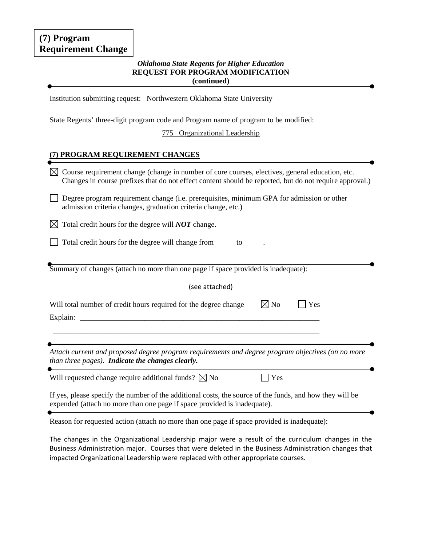# **(7) Program Requirement Change**

#### *Oklahoma State Regents for Higher Education*  **REQUEST FOR PROGRAM MODIFICATION (continued)**

Institution submitting request: Northwestern Oklahoma State University

State Regents' three-digit program code and Program name of program to be modified:

775 Organizational Leadership

#### **(7) PROGRAM REQUIREMENT CHANGES**

| Course requirement change (change in number of core courses, electives, general education, etc.<br>⊠<br>Changes in course prefixes that do not effect content should be reported, but do not require approval.) |
|-----------------------------------------------------------------------------------------------------------------------------------------------------------------------------------------------------------------|
| Degree program requirement change (i.e. prerequisites, minimum GPA for admission or other<br>admission criteria changes, graduation criteria change, etc.)                                                      |
| Total credit hours for the degree will <b>NOT</b> change.<br>IХI                                                                                                                                                |
| Total credit hours for the degree will change from<br>to                                                                                                                                                        |
| Summary of changes (attach no more than one page if space provided is inadequate):                                                                                                                              |
| (see attached)                                                                                                                                                                                                  |
| $\boxtimes$ No<br>Will total number of credit hours required for the degree change<br>Yes                                                                                                                       |
| Attach current and proposed degree program requirements and degree program objectives (on no more<br>than three pages). Indicate the changes clearly.                                                           |
| Will requested change require additional funds? $\boxtimes$ No<br>Yes                                                                                                                                           |
| If yes, please specify the number of the additional costs, the source of the funds, and how they will be<br>expended (attach no more than one page if space provided is inadequate).                            |
| Reason for requested action (attach no more than one page if space provided is inadequate):                                                                                                                     |

The changes in the Organizational Leadership major were a result of the curriculum changes in the Business Administration major. Courses that were deleted in the Business Administration changes that impacted Organizational Leadership were replaced with other appropriate courses.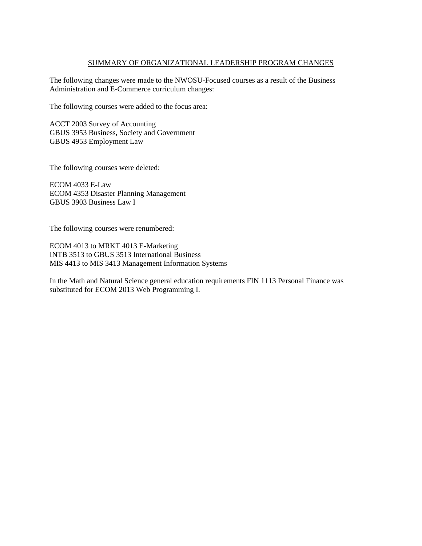#### SUMMARY OF ORGANIZATIONAL LEADERSHIP PROGRAM CHANGES

The following changes were made to the NWOSU-Focused courses as a result of the Business Administration and E-Commerce curriculum changes:

The following courses were added to the focus area:

ACCT 2003 Survey of Accounting GBUS 3953 Business, Society and Government GBUS 4953 Employment Law

The following courses were deleted:

ECOM 4033 E-Law ECOM 4353 Disaster Planning Management GBUS 3903 Business Law I

The following courses were renumbered:

ECOM 4013 to MRKT 4013 E-Marketing INTB 3513 to GBUS 3513 International Business MIS 4413 to MIS 3413 Management Information Systems

In the Math and Natural Science general education requirements FIN 1113 Personal Finance was substituted for ECOM 2013 Web Programming I.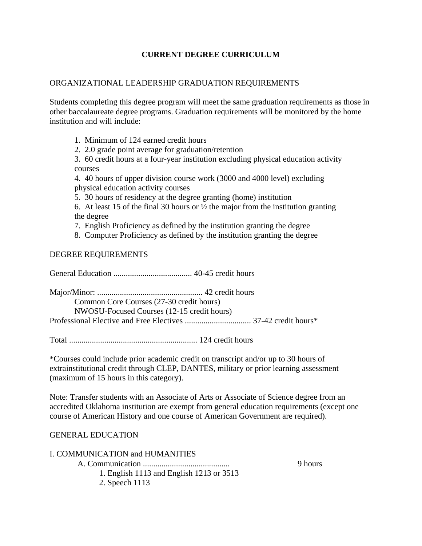# **CURRENT DEGREE CURRICULUM**

### ORGANIZATIONAL LEADERSHIP GRADUATION REQUIREMENTS

Students completing this degree program will meet the same graduation requirements as those in other baccalaureate degree programs. Graduation requirements will be monitored by the home institution and will include:

- 1. Minimum of 124 earned credit hours
- 2. 2.0 grade point average for graduation/retention

3. 60 credit hours at a four-year institution excluding physical education activity courses

4. 40 hours of upper division course work (3000 and 4000 level) excluding physical education activity courses

5. 30 hours of residency at the degree granting (home) institution

6. At least 15 of the final 30 hours or  $\frac{1}{2}$  the major from the institution granting the degree

- 7. English Proficiency as defined by the institution granting the degree
- 8. Computer Proficiency as defined by the institution granting the degree

#### DEGREE REQUIREMENTS

General Education ...................................... 40-45 credit hours

| Common Core Courses (27-30 credit hours)   |  |
|--------------------------------------------|--|
| NWOSU-Focused Courses (12-15 credit hours) |  |
|                                            |  |

Total .............................................................. 124 credit hours

\*Courses could include prior academic credit on transcript and/or up to 30 hours of extrainstitutional credit through CLEP, DANTES, military or prior learning assessment (maximum of 15 hours in this category).

Note: Transfer students with an Associate of Arts or Associate of Science degree from an accredited Oklahoma institution are exempt from general education requirements (except one course of American History and one course of American Government are required).

#### GENERAL EDUCATION

| <b>I. COMMUNICATION and HUMANITIES</b>   |         |
|------------------------------------------|---------|
|                                          | 9 hours |
| 1. English 1113 and English 1213 or 3513 |         |
| 2. Speech 1113                           |         |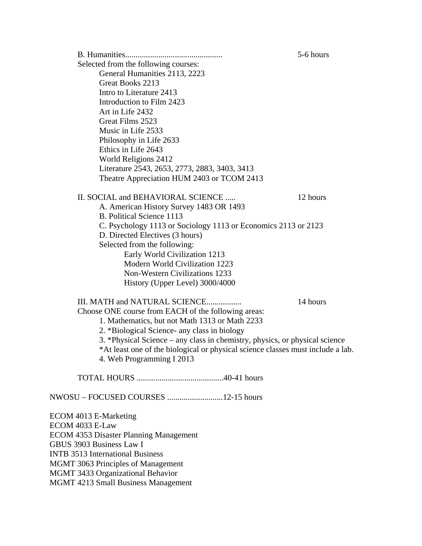|                                                                                 | 5-6 hours |
|---------------------------------------------------------------------------------|-----------|
| Selected from the following courses:                                            |           |
| General Humanities 2113, 2223                                                   |           |
| Great Books 2213                                                                |           |
| Intro to Literature 2413                                                        |           |
| Introduction to Film 2423                                                       |           |
| Art in Life 2432                                                                |           |
| Great Films 2523                                                                |           |
| Music in Life 2533                                                              |           |
| Philosophy in Life 2633                                                         |           |
| Ethics in Life 2643                                                             |           |
| World Religions 2412                                                            |           |
| Literature 2543, 2653, 2773, 2883, 3403, 3413                                   |           |
| Theatre Appreciation HUM 2403 or TCOM 2413                                      |           |
| II. SOCIAL and BEHAVIORAL SCIENCE                                               | 12 hours  |
| A. American History Survey 1483 OR 1493                                         |           |
| B. Political Science 1113                                                       |           |
| C. Psychology 1113 or Sociology 1113 or Economics 2113 or 2123                  |           |
| D. Directed Electives (3 hours)                                                 |           |
| Selected from the following:                                                    |           |
| Early World Civilization 1213                                                   |           |
| Modern World Civilization 1223                                                  |           |
| <b>Non-Western Civilizations 1233</b>                                           |           |
| History (Upper Level) 3000/4000                                                 |           |
| III. MATH and NATURAL SCIENCE                                                   | 14 hours  |
| Choose ONE course from EACH of the following areas:                             |           |
| 1. Mathematics, but not Math 1313 or Math 2233                                  |           |
| 2. *Biological Science- any class in biology                                    |           |
| 3. *Physical Science – any class in chemistry, physics, or physical science     |           |
| *At least one of the biological or physical science classes must include a lab. |           |
| 4. Web Programming I 2013                                                       |           |
|                                                                                 |           |
|                                                                                 |           |
| ECOM 4013 E-Marketing                                                           |           |
| ECOM 4033 E-Law                                                                 |           |
| ECOM 4353 Disaster Planning Management                                          |           |
|                                                                                 |           |

GBUS 3903 Business Law I

INTB 3513 International Business MGMT 3063 Principles of Management

MGMT 3433 Organizational Behavior

MGMT 4213 Small Business Management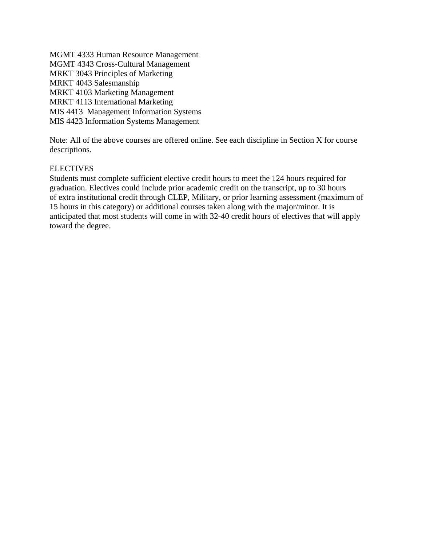MGMT 4333 Human Resource Management MGMT 4343 Cross-Cultural Management MRKT 3043 Principles of Marketing MRKT 4043 Salesmanship MRKT 4103 Marketing Management MRKT 4113 International Marketing MIS 4413 Management Information Systems MIS 4423 Information Systems Management

Note: All of the above courses are offered online. See each discipline in Section X for course descriptions.

## **ELECTIVES**

Students must complete sufficient elective credit hours to meet the 124 hours required for graduation. Electives could include prior academic credit on the transcript, up to 30 hours of extra institutional credit through CLEP, Military, or prior learning assessment (maximum of 15 hours in this category) or additional courses taken along with the major/minor. It is anticipated that most students will come in with 32-40 credit hours of electives that will apply toward the degree.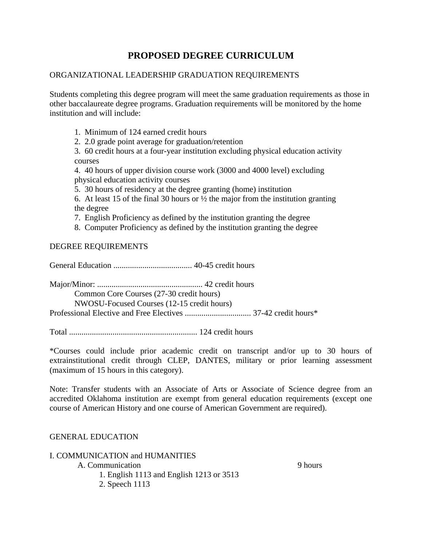# **PROPOSED DEGREE CURRICULUM**

# ORGANIZATIONAL LEADERSHIP GRADUATION REQUIREMENTS

Students completing this degree program will meet the same graduation requirements as those in other baccalaureate degree programs. Graduation requirements will be monitored by the home institution and will include:

- 1. Minimum of 124 earned credit hours
- 2. 2.0 grade point average for graduation/retention

3. 60 credit hours at a four-year institution excluding physical education activity courses

4. 40 hours of upper division course work (3000 and 4000 level) excluding physical education activity courses

5. 30 hours of residency at the degree granting (home) institution

6. At least 15 of the final 30 hours or  $\frac{1}{2}$  the major from the institution granting the degree

7. English Proficiency as defined by the institution granting the degree

8. Computer Proficiency as defined by the institution granting the degree

## DEGREE REQUIREMENTS

General Education ...................................... 40-45 credit hours

Major/Minor: ................................................... 42 credit hours

Common Core Courses (27-30 credit hours)

NWOSU-Focused Courses (12-15 credit hours)

Professional Elective and Free Electives ................................ 37-42 credit hours\*

Total .............................................................. 124 credit hours

\*Courses could include prior academic credit on transcript and/or up to 30 hours of extrainstitutional credit through CLEP, DANTES, military or prior learning assessment (maximum of 15 hours in this category).

Note: Transfer students with an Associate of Arts or Associate of Science degree from an accredited Oklahoma institution are exempt from general education requirements (except one course of American History and one course of American Government are required).

## GENERAL EDUCATION

I. COMMUNICATION and HUMANITIES

A. Communication 9 hours

1. English 1113 and English 1213 or 3513

2. Speech 1113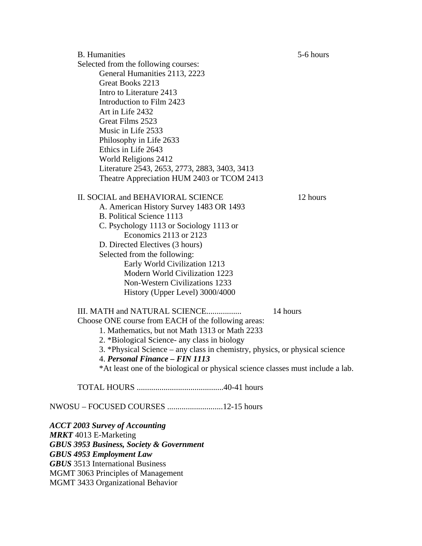B. Humanities 5-6 hours Selected from the following courses: General Humanities 2113, 2223 Great Books 2213 Intro to Literature 2413 Introduction to Film 2423 Art in Life 2432 Great Films 2523 Music in Life 2533 Philosophy in Life 2633 Ethics in Life 2643 World Religions 2412 Literature 2543, 2653, 2773, 2883, 3403, 3413 Theatre Appreciation HUM 2403 or TCOM 2413 II. SOCIAL and BEHAVIORAL SCIENCE 12 hours A. American History Survey 1483 OR 1493 B. Political Science 1113 C. Psychology 1113 or Sociology 1113 or Economics 2113 or 2123 D. Directed Electives (3 hours) Selected from the following: Early World Civilization 1213 Modern World Civilization 1223 Non-Western Civilizations 1233 History (Upper Level) 3000/4000 III. MATH and NATURAL SCIENCE................. 14 hours Choose ONE course from EACH of the following areas: 1. Mathematics, but not Math 1313 or Math 2233 2. \*Biological Science- any class in biology 3. \*Physical Science – any class in chemistry, physics, or physical science 4. *Personal Finance – FIN 1113* \*At least one of the biological or physical science classes must include a lab. TOTAL HOURS ..........................................40-41 hours NWOSU – FOCUSED COURSES ...........................12-15 hours *ACCT 2003 Survey of Accounting MRKT* 4013 E-Marketing *GBUS 3953 Business, Society & Government GBUS 4953 Employment Law GBUS* 3513 International Business MGMT 3063 Principles of Management MGMT 3433 Organizational Behavior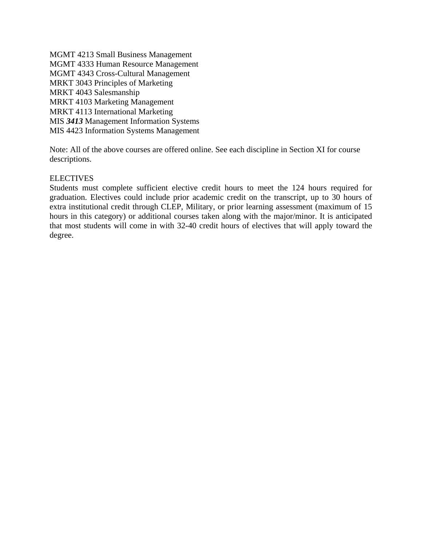MGMT 4213 Small Business Management MGMT 4333 Human Resource Management MGMT 4343 Cross-Cultural Management MRKT 3043 Principles of Marketing MRKT 4043 Salesmanship MRKT 4103 Marketing Management MRKT 4113 International Marketing MIS *3413* Management Information Systems MIS 4423 Information Systems Management

Note: All of the above courses are offered online. See each discipline in Section XI for course descriptions.

#### **ELECTIVES**

Students must complete sufficient elective credit hours to meet the 124 hours required for graduation. Electives could include prior academic credit on the transcript, up to 30 hours of extra institutional credit through CLEP, Military, or prior learning assessment (maximum of 15 hours in this category) or additional courses taken along with the major/minor. It is anticipated that most students will come in with 32-40 credit hours of electives that will apply toward the degree.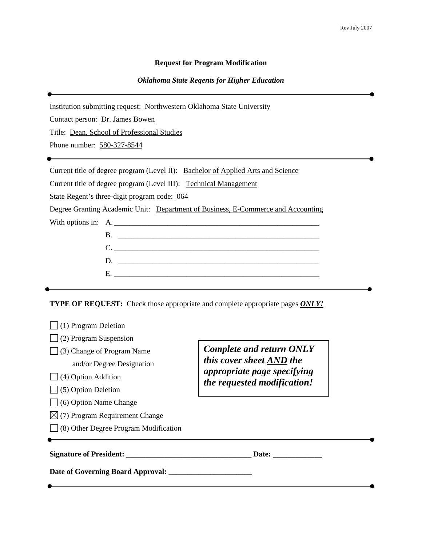#### **Request for Program Modification**

#### *Oklahoma State Regents for Higher Education*

Institution submitting request: Northwestern Oklahoma State University Contact person: Dr. James Bowen Title: Dean, School of Professional Studies Phone number: 580-327-8544 Current title of degree program (Level II): Bachelor of Applied Arts and Science Current title of degree program (Level III):Technical Management State Regent's three-digit program code: 064 Degree Granting Academic Unit: Department of Business, E-Commerce and Accounting With options in: A. B. \_\_\_\_\_\_\_\_\_\_\_\_\_\_\_\_\_\_\_\_\_\_\_\_\_\_\_\_\_\_\_\_\_\_\_\_\_\_\_\_\_\_\_\_\_\_\_\_\_\_\_\_\_ C. \_\_\_\_\_\_\_\_\_\_\_\_\_\_\_\_\_\_\_\_\_\_\_\_\_\_\_\_\_\_\_\_\_\_\_\_\_\_\_\_\_\_\_\_\_\_\_\_\_\_\_\_\_\_ D. \_\_\_\_\_\_\_\_\_\_\_\_\_\_\_\_\_\_\_\_\_\_\_\_\_\_\_\_\_\_\_\_\_\_\_\_\_\_\_\_\_\_\_\_\_\_\_\_\_\_\_\_\_  $E.$ **TYPE OF REQUEST:** Check those appropriate and complete appropriate pages *ONLY!*  $\Box$  (1) Program Deletion (2) Program Suspension  $\Box$  (3) Change of Program Name and/or Degree Designation *Complete and return ONLY this cover sheet AND the appropriate page specifying* 

- $\Box$  (4) Option Addition
- $\Box$  (5) Option Deletion
- (6) Option Name Change
- $\boxtimes$  (7) Program Requirement Change
- (8) Other Degree Program Modification

**Signature of President: \_\_\_\_\_\_\_\_\_\_\_\_\_\_\_\_\_\_\_\_\_\_\_\_\_\_\_\_\_\_\_\_\_ Date: \_\_\_\_\_\_\_\_\_\_\_\_\_** 

*the requested modification!* 

**Date of Governing Board Approval: \_\_\_\_\_\_\_\_\_\_\_\_\_\_\_\_\_\_\_\_\_\_**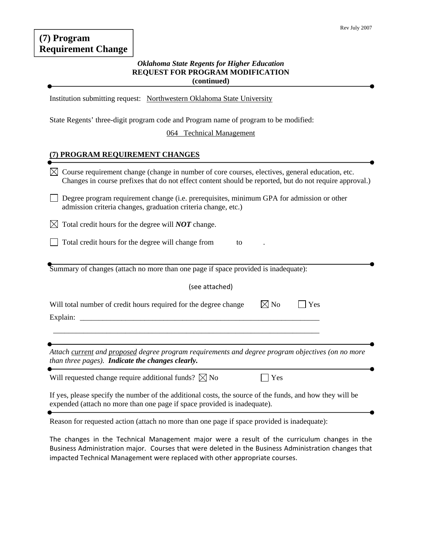#### *Oklahoma State Regents for Higher Education*  **REQUEST FOR PROGRAM MODIFICATION (continued)**

Institution submitting request: Northwestern Oklahoma State University

State Regents' three-digit program code and Program name of program to be modified:

064 Technical Management

#### **(7) PROGRAM REQUIREMENT CHANGES**

| Course requirement change (change in number of core courses, electives, general education, etc.<br>Changes in course prefixes that do not effect content should be reported, but do not require approval.)                     |  |  |
|--------------------------------------------------------------------------------------------------------------------------------------------------------------------------------------------------------------------------------|--|--|
| Degree program requirement change (i.e. prerequisites, minimum GPA for admission or other<br>admission criteria changes, graduation criteria change, etc.)                                                                     |  |  |
| Total credit hours for the degree will <b>NOT</b> change.                                                                                                                                                                      |  |  |
| Total credit hours for the degree will change from<br>to                                                                                                                                                                       |  |  |
| Summary of changes (attach no more than one page if space provided is inadequate):                                                                                                                                             |  |  |
| (see attached)                                                                                                                                                                                                                 |  |  |
| $\boxtimes$ No<br>Will total number of credit hours required for the degree change<br>Yes<br><u> 1980 - Jan Barat, margaret amerikan basar dan berasal dari basar dalam basar dalam basar dalam basar dalam ba</u><br>Explain: |  |  |
| Attach current and proposed degree program requirements and degree program objectives (on no more<br>than three pages). Indicate the changes clearly.                                                                          |  |  |
| Will requested change require additional funds? $\boxtimes$ No<br>Yes                                                                                                                                                          |  |  |
| If yes, please specify the number of the additional costs, the source of the funds, and how they will be<br>expended (attach no more than one page if space provided is inadequate).                                           |  |  |
|                                                                                                                                                                                                                                |  |  |

Reason for requested action (attach no more than one page if space provided is inadequate):

The changes in the Technical Management major were a result of the curriculum changes in the Business Administration major. Courses that were deleted in the Business Administration changes that impacted Technical Management were replaced with other appropriate courses.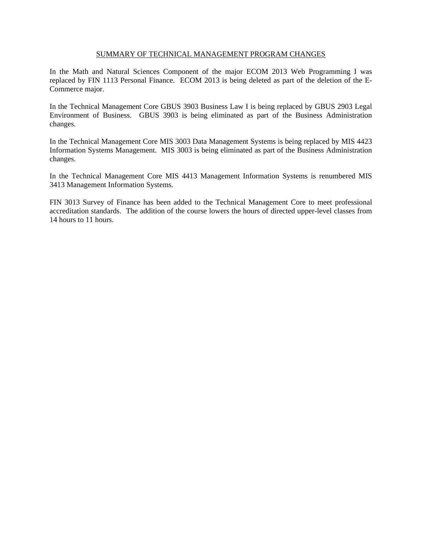#### SUMMARY OF TECHNICAL MANAGEMENT PROGRAM CHANGES

In the Math and Natural Sciences Component of the major ECOM 2013 Web Programming I was replaced by FIN 1113 Personal Finance. ECOM 2013 is being deleted as part of the deletion of the E-Commerce major.

In the Technical Management Core GBUS 3903 Business Law I is being replaced by GBUS 2903 Legal Environment of Business. GBUS 3903 is being eliminated as part of the Business Administration changes.

In the Technical Management Core MIS 3003 Data Management Systems is being replaced by MIS 4423 Information Systems Management. MIS 3003 is being eliminated as part of the Business Administration changes.

In the Technical Management Core MIS 4413 Management Information Systems is renumbered MIS 3413 Management Information Systems.

FIN 3013 Survey of Finance has been added to the Technical Management Core to meet professional accreditation standards. The addition of the course lowers the hours of directed upper-level classes from 14 hours to 11 hours.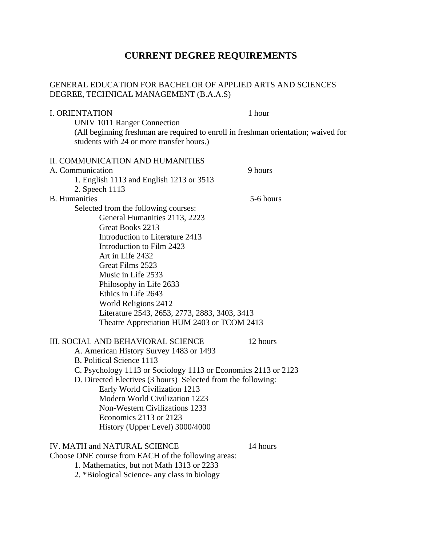# **CURRENT DEGREE REQUIREMENTS**

## GENERAL EDUCATION FOR BACHELOR OF APPLIED ARTS AND SCIENCES DEGREE, TECHNICAL MANAGEMENT (B.A.A.S)

| <b>I. ORIENTATION</b>                                                              | 1 hour    |
|------------------------------------------------------------------------------------|-----------|
| UNIV 1011 Ranger Connection                                                        |           |
| (All beginning freshman are required to enroll in freshman orientation; waived for |           |
| students with 24 or more transfer hours.)                                          |           |
|                                                                                    |           |
| II. COMMUNICATION AND HUMANITIES                                                   |           |
| A. Communication                                                                   | 9 hours   |
| 1. English 1113 and English 1213 or 3513                                           |           |
| 2. Speech 1113                                                                     |           |
| <b>B.</b> Humanities                                                               | 5-6 hours |
| Selected from the following courses:                                               |           |
| General Humanities 2113, 2223<br>Great Books 2213                                  |           |
| Introduction to Literature 2413                                                    |           |
| Introduction to Film 2423                                                          |           |
| Art in Life 2432                                                                   |           |
| Great Films 2523                                                                   |           |
| Music in Life 2533                                                                 |           |
| Philosophy in Life 2633                                                            |           |
| Ethics in Life 2643                                                                |           |
| World Religions 2412                                                               |           |
| Literature 2543, 2653, 2773, 2883, 3403, 3413                                      |           |
| Theatre Appreciation HUM 2403 or TCOM 2413                                         |           |
|                                                                                    |           |
| III. SOCIAL AND BEHAVIORAL SCIENCE                                                 | 12 hours  |
| A. American History Survey 1483 or 1493                                            |           |
| <b>B. Political Science 1113</b>                                                   |           |
| C. Psychology 1113 or Sociology 1113 or Economics 2113 or 2123                     |           |
| D. Directed Electives (3 hours) Selected from the following:                       |           |
| Early World Civilization 1213                                                      |           |
| Modern World Civilization 1223                                                     |           |
| <b>Non-Western Civilizations 1233</b>                                              |           |
| Economics 2113 or 2123                                                             |           |
| History (Upper Level) 3000/4000                                                    |           |
| IV. MATH and NATURAL SCIENCE                                                       | 14 hours  |
| Choose ONE course from EACH of the following areas:                                |           |
| 1. Mathematics, but not Math 1313 or 2233                                          |           |
| 2. *Biological Science- any class in biology                                       |           |
|                                                                                    |           |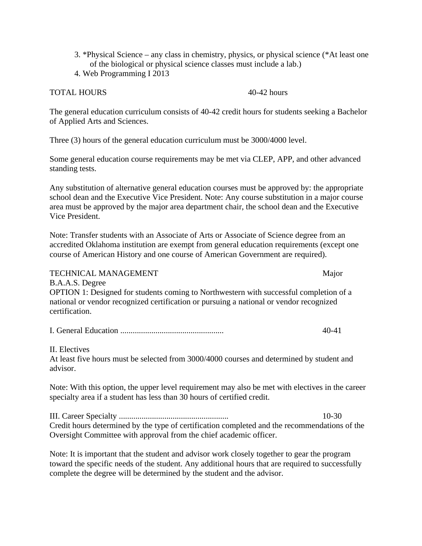- 3. \*Physical Science any class in chemistry, physics, or physical science (\*At least one of the biological or physical science classes must include a lab.)
- 4. Web Programming I 2013

#### TOTAL HOURS 40-42 hours

The general education curriculum consists of 40-42 credit hours for students seeking a Bachelor of Applied Arts and Sciences.

Three (3) hours of the general education curriculum must be 3000/4000 level.

Some general education course requirements may be met via CLEP, APP, and other advanced standing tests.

Any substitution of alternative general education courses must be approved by: the appropriate school dean and the Executive Vice President. Note: Any course substitution in a major course area must be approved by the major area department chair, the school dean and the Executive Vice President.

Note: Transfer students with an Associate of Arts or Associate of Science degree from an accredited Oklahoma institution are exempt from general education requirements (except one course of American History and one course of American Government are required).

TECHNICAL MANAGEMENT Major

B.A.A.S. Degree OPTION 1: Designed for students coming to Northwestern with successful completion of a national or vendor recognized certification or pursuing a national or vendor recognized certification.

II. Electives

At least five hours must be selected from 3000/4000 courses and determined by student and advisor.

Note: With this option, the upper level requirement may also be met with electives in the career specialty area if a student has less than 30 hours of certified credit.

III. Career Specialty ..................................................... 10-30 Credit hours determined by the type of certification completed and the recommendations of the Oversight Committee with approval from the chief academic officer.

Note: It is important that the student and advisor work closely together to gear the program toward the specific needs of the student. Any additional hours that are required to successfully complete the degree will be determined by the student and the advisor.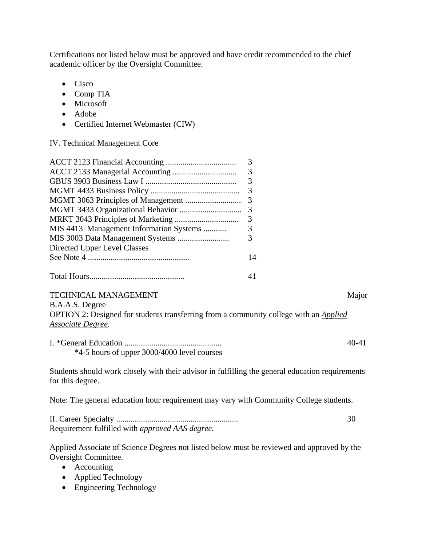Certifications not listed below must be approved and have credit recommended to the chief academic officer by the Oversight Committee.

- Cisco
- Comp TIA
- Microsoft
- Adobe
- Certified Internet Webmaster (CIW)

IV. Technical Management Core

|                                                                                                  | 3         |  |  |
|--------------------------------------------------------------------------------------------------|-----------|--|--|
|                                                                                                  | 3         |  |  |
|                                                                                                  | 3         |  |  |
|                                                                                                  | 3         |  |  |
|                                                                                                  | 3         |  |  |
|                                                                                                  | 3         |  |  |
|                                                                                                  | 3         |  |  |
| MIS 4413 Management Information Systems                                                          | 3         |  |  |
|                                                                                                  | 3         |  |  |
| Directed Upper Level Classes                                                                     |           |  |  |
|                                                                                                  | 14        |  |  |
|                                                                                                  |           |  |  |
|                                                                                                  | 41        |  |  |
| <b>TECHNICAL MANAGEMENT</b>                                                                      | Major     |  |  |
| B.A.A.S. Degree                                                                                  |           |  |  |
| OPTION 2: Designed for students transferring from a community college with an <i>Applied</i>     |           |  |  |
| Associate Degree.                                                                                |           |  |  |
|                                                                                                  | $40 - 41$ |  |  |
| *4-5 hours of upper 3000/4000 level courses                                                      |           |  |  |
| Students should work closely with their advisor in fulfilling the general education requirements |           |  |  |
| for this degree.                                                                                 |           |  |  |
| Note: The general education hour requirement may vary with Community College students.           |           |  |  |
|                                                                                                  |           |  |  |

II. Career Specialty ........................................................... 30 Requirement fulfilled with *approved AAS degree.*

Applied Associate of Science Degrees not listed below must be reviewed and approved by the Oversight Committee.

- Accounting
- Applied Technology
- Engineering Technology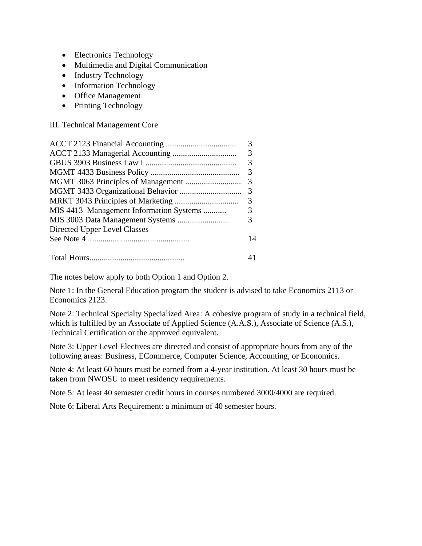- Electronics Technology
- Multimedia and Digital Communication
- Industry Technology
- Information Technology
- Office Management
- Printing Technology

III. Technical Management Core

|                                         | 3              |
|-----------------------------------------|----------------|
|                                         |                |
|                                         | 3              |
|                                         | $\overline{3}$ |
|                                         |                |
| MIS 4413 Management Information Systems | 3              |
|                                         | 3              |
| Directed Upper Level Classes            |                |
|                                         | 14             |
|                                         |                |

The notes below apply to both Option 1 and Option 2.

Note 1: In the General Education program the student is advised to take Economics 2113 or Economics 2123.

Note 2: Technical Specialty Specialized Area: A cohesive program of study in a technical field, which is fulfilled by an Associate of Applied Science (A.A.S.), Associate of Science (A.S.), Technical Certification or the approved equivalent.

Note 3: Upper Level Electives are directed and consist of appropriate hours from any of the following areas: Business, ECommerce, Computer Science, Accounting, or Economics.

Note 4: At least 60 hours must be earned from a 4-year institution. At least 30 hours must be taken from NWOSU to meet residency requirements.

Note 5: At least 40 semester credit hours in courses numbered 3000/4000 are required.

Note 6: Liberal Arts Requirement: a minimum of 40 semester hours.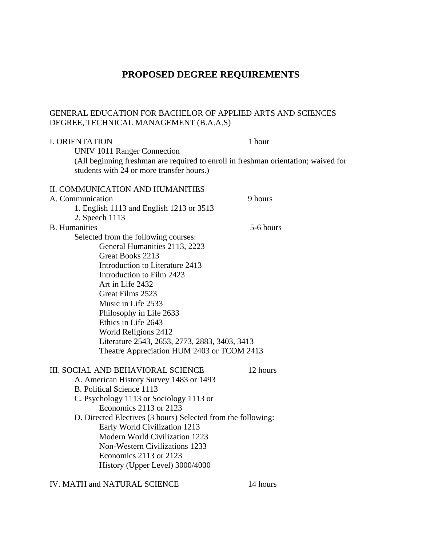# **PROPOSED DEGREE REQUIREMENTS**

# GENERAL EDUCATION FOR BACHELOR OF APPLIED ARTS AND SCIENCES DEGREE, TECHNICAL MANAGEMENT (B.A.A.S)

| <b>I. ORIENTATION</b><br><b>UNIV 1011 Ranger Connection</b>                                                                     | 1 hour    |  |
|---------------------------------------------------------------------------------------------------------------------------------|-----------|--|
| (All beginning freshman are required to enroll in freshman orientation; waived for<br>students with 24 or more transfer hours.) |           |  |
|                                                                                                                                 |           |  |
| II. COMMUNICATION AND HUMANITIES                                                                                                |           |  |
| A. Communication                                                                                                                | 9 hours   |  |
| 1. English 1113 and English 1213 or 3513                                                                                        |           |  |
| 2. Speech 1113                                                                                                                  |           |  |
| <b>B.</b> Humanities                                                                                                            | 5-6 hours |  |
| Selected from the following courses:                                                                                            |           |  |
| General Humanities 2113, 2223                                                                                                   |           |  |
| Great Books 2213                                                                                                                |           |  |
| Introduction to Literature 2413                                                                                                 |           |  |
| Introduction to Film 2423                                                                                                       |           |  |
| Art in Life 2432                                                                                                                |           |  |
| Great Films 2523                                                                                                                |           |  |
| Music in Life 2533                                                                                                              |           |  |
| Philosophy in Life 2633                                                                                                         |           |  |
| Ethics in Life 2643                                                                                                             |           |  |
| World Religions 2412                                                                                                            |           |  |
| Literature 2543, 2653, 2773, 2883, 3403, 3413                                                                                   |           |  |
| Theatre Appreciation HUM 2403 or TCOM 2413                                                                                      |           |  |
|                                                                                                                                 |           |  |
| III. SOCIAL AND BEHAVIORAL SCIENCE                                                                                              | 12 hours  |  |
| A. American History Survey 1483 or 1493                                                                                         |           |  |
| <b>B. Political Science 1113</b>                                                                                                |           |  |
| C. Psychology 1113 or Sociology 1113 or                                                                                         |           |  |
| Economics 2113 or 2123                                                                                                          |           |  |
| D. Directed Electives (3 hours) Selected from the following:                                                                    |           |  |
| Early World Civilization 1213                                                                                                   |           |  |
| Modern World Civilization 1223                                                                                                  |           |  |
| <b>Non-Western Civilizations 1233</b>                                                                                           |           |  |
| Economics 2113 or 2123                                                                                                          |           |  |
| History (Upper Level) 3000/4000                                                                                                 |           |  |
|                                                                                                                                 |           |  |

IV. MATH and NATURAL SCIENCE 14 hours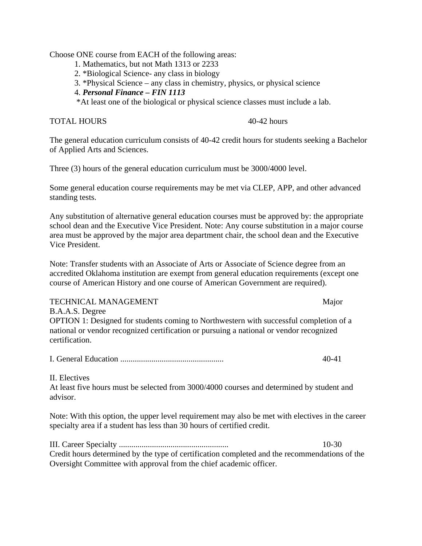Choose ONE course from EACH of the following areas:

- 1. Mathematics, but not Math 1313 or 2233
- 2. \*Biological Science- any class in biology
- 3. \*Physical Science any class in chemistry, physics, or physical science
- 4. *Personal Finance FIN 1113*

\*At least one of the biological or physical science classes must include a lab.

TOTAL HOURS 40-42 hours

The general education curriculum consists of 40-42 credit hours for students seeking a Bachelor of Applied Arts and Sciences.

Three (3) hours of the general education curriculum must be 3000/4000 level.

Some general education course requirements may be met via CLEP, APP, and other advanced standing tests.

Any substitution of alternative general education courses must be approved by: the appropriate school dean and the Executive Vice President. Note: Any course substitution in a major course area must be approved by the major area department chair, the school dean and the Executive Vice President.

Note: Transfer students with an Associate of Arts or Associate of Science degree from an accredited Oklahoma institution are exempt from general education requirements (except one course of American History and one course of American Government are required).

TECHNICAL MANAGEMENT Major B.A.A.S. Degree OPTION 1: Designed for students coming to Northwestern with successful completion of a national or vendor recognized certification or pursuing a national or vendor recognized certification.

I. General Education .................................................. 40-41

II. Electives

At least five hours must be selected from 3000/4000 courses and determined by student and advisor.

Note: With this option, the upper level requirement may also be met with electives in the career specialty area if a student has less than 30 hours of certified credit.

III. Career Specialty ..................................................... 10-30 Credit hours determined by the type of certification completed and the recommendations of the Oversight Committee with approval from the chief academic officer.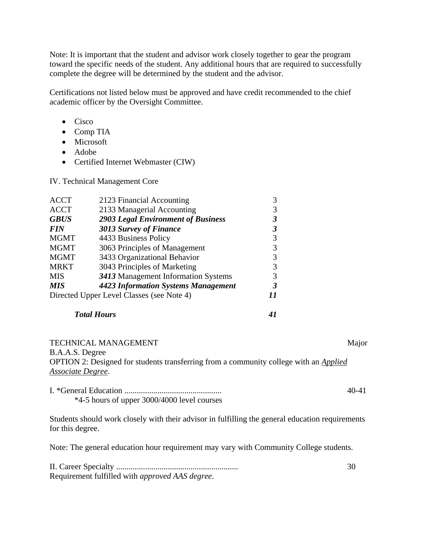Note: It is important that the student and advisor work closely together to gear the program toward the specific needs of the student. Any additional hours that are required to successfully complete the degree will be determined by the student and the advisor.

Certifications not listed below must be approved and have credit recommended to the chief academic officer by the Oversight Committee.

- Cisco
- Comp TIA
- Microsoft
- Adobe
- Certified Internet Webmaster (CIW)

IV. Technical Management Core

| <b>ACCT</b>                               | 2123 Financial Accounting                  |  |
|-------------------------------------------|--------------------------------------------|--|
| <b>ACCT</b>                               | 2133 Managerial Accounting                 |  |
| <b>GBUS</b>                               | <b>2903 Legal Environment of Business</b>  |  |
| <b>FIN</b>                                | 3013 Survey of Finance                     |  |
| <b>MGMT</b>                               | 4433 Business Policy                       |  |
| <b>MGMT</b>                               | 3063 Principles of Management              |  |
| <b>MGMT</b>                               | 3433 Organizational Behavior               |  |
| <b>MRKT</b>                               | 3043 Principles of Marketing               |  |
| <b>MIS</b>                                | 3413 Management Information Systems        |  |
| <b>MIS</b>                                | <b>4423 Information Systems Management</b> |  |
| Directed Upper Level Classes (see Note 4) |                                            |  |

#### *Total Hours 41*

TECHNICAL MANAGEMENT **Major** Major

B.A.A.S. Degree OPTION 2: Designed for students transferring from a community college with an *Applied Associate Degree*.

I. \*General Education ............................................... 40-41 \*4-5 hours of upper 3000/4000 level courses

Students should work closely with their advisor in fulfilling the general education requirements for this degree.

Note: The general education hour requirement may vary with Community College students.

| Requirement fulfilled with <i>approved AAS degree</i> . |  |
|---------------------------------------------------------|--|